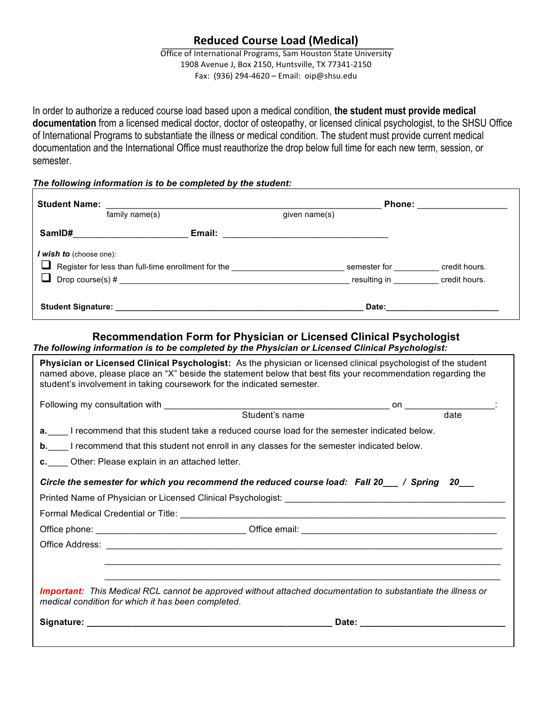# **Reduced Course Load (Medical)**

Office of International Programs, Sam Houston State University 1908 Avenue J, Box 2150, Huntsville, TX 77341-2150 Fax: (936) 294-4620 – Email:  $oip@shsu.edu$ 

In order to authorize a reduced course load based upon a medical condition, **the student must provide medical documentation** from a licensed medical doctor, doctor of osteopathy, or licensed clinical psychologist, to the SHSU Office of International Programs to substantiate the illness or medical condition. The student must provide current medical documentation and the International Office must reauthorize the drop below full time for each new term, session, or semester.

### *The following information is to be completed by the student:*

| <b>Student Name:</b>                                                           | <b>Phone: Example 20</b>           |                                                                                                                 |               |
|--------------------------------------------------------------------------------|------------------------------------|-----------------------------------------------------------------------------------------------------------------|---------------|
|                                                                                | family name(s)                     | given name(s)                                                                                                   |               |
| SamID#                                                                         |                                    | Email: 2008. 2009. 2009. 2012. 2013. 2014. 2015. 2016. 2017. 2018. 2019. 2019. 2017. 2018. 2019. 2017. 2017. 20 |               |
| I wish to (choose one):<br>Register for less than full-time enrollment for the |                                    | semester for                                                                                                    | credit hours. |
|                                                                                |                                    | resulting in <b>Example 20</b>                                                                                  | credit hours. |
|                                                                                | Student Signature: _______________ | Date:                                                                                                           |               |

## **Recommendation Form for Physician or Licensed Clinical Psychologist**

*The following information is to be completed by the Physician or Licensed Clinical Psychologist:*

| student's involvement in taking coursework for the indicated semester.                         | Physician or Licensed Clinical Psychologist: As the physician or licensed clinical psychologist of the student<br>named above, please place an "X" beside the statement below that best fits your recommendation regarding the |  |  |  |  |
|------------------------------------------------------------------------------------------------|--------------------------------------------------------------------------------------------------------------------------------------------------------------------------------------------------------------------------------|--|--|--|--|
|                                                                                                |                                                                                                                                                                                                                                |  |  |  |  |
|                                                                                                |                                                                                                                                                                                                                                |  |  |  |  |
| a. I recommend that this student take a reduced course load for the semester indicated below.  |                                                                                                                                                                                                                                |  |  |  |  |
| b. I recommend that this student not enroll in any classes for the semester indicated below.   |                                                                                                                                                                                                                                |  |  |  |  |
| c. Other: Please explain in an attached letter.                                                |                                                                                                                                                                                                                                |  |  |  |  |
| Circle the semester for which you recommend the reduced course load: Fall 20 __ / Spring 20 __ |                                                                                                                                                                                                                                |  |  |  |  |
|                                                                                                |                                                                                                                                                                                                                                |  |  |  |  |
|                                                                                                |                                                                                                                                                                                                                                |  |  |  |  |
|                                                                                                |                                                                                                                                                                                                                                |  |  |  |  |
|                                                                                                |                                                                                                                                                                                                                                |  |  |  |  |
|                                                                                                |                                                                                                                                                                                                                                |  |  |  |  |
|                                                                                                |                                                                                                                                                                                                                                |  |  |  |  |
| medical condition for which it has been completed.                                             | <b>Important:</b> This Medical RCL cannot be approved without attached documentation to substantiate the illness or                                                                                                            |  |  |  |  |
|                                                                                                |                                                                                                                                                                                                                                |  |  |  |  |
|                                                                                                |                                                                                                                                                                                                                                |  |  |  |  |